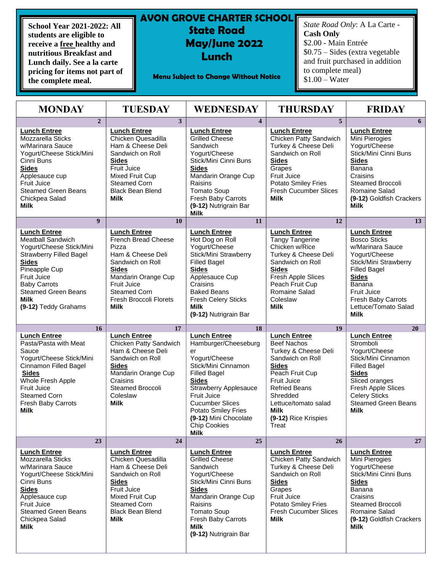**School Year 2021-2022: All students are eligible to receive a free healthy and nutritious Breakfast and Lunch daily. See a la carte pricing for items not part of the complete meal.**

## **AVON GROVE CHARTER SCHOOL State Road SEPT 2019 May/June 2022 Lunch**

**Menu Subject to Change Without Notice**

*State Road Only*: A La Carte - **Cash Only** \$2.00 - Main Entrée \$0.75 – Sides (extra vegetable and fruit purchased in addition to complete meal) \$1.00 – Water

| <b>MONDAY</b>                                                                                                                                                                                                                                      | <b>TUESDAY</b>                                                                                                                                                                                                            | <b>WEDNESDAY</b>                                                                                                                                                                                                                                                                                       | <b>THURSDAY</b>                                                                                                                                                                                                                                            | <b>FRIDAY</b>                                                                                                                                                                                                                                |
|----------------------------------------------------------------------------------------------------------------------------------------------------------------------------------------------------------------------------------------------------|---------------------------------------------------------------------------------------------------------------------------------------------------------------------------------------------------------------------------|--------------------------------------------------------------------------------------------------------------------------------------------------------------------------------------------------------------------------------------------------------------------------------------------------------|------------------------------------------------------------------------------------------------------------------------------------------------------------------------------------------------------------------------------------------------------------|----------------------------------------------------------------------------------------------------------------------------------------------------------------------------------------------------------------------------------------------|
| $\overline{2}$<br><b>Lunch Entree</b><br>Mozzarella Sticks<br>w/Marinara Sauce<br>Yogurt/Cheese Stick/Mini<br>Cinni Buns<br><b>Sides</b><br>Applesauce cup<br>Fruit Juice<br><b>Steamed Green Beans</b><br>Chickpea Salad                          | 3 <sup>1</sup><br><b>Lunch Entree</b><br>Chicken Quesadilla<br>Ham & Cheese Deli<br>Sandwich on Roll<br><b>Sides</b><br>Fruit Juice<br>Mixed Fruit Cup<br><b>Steamed Corn</b><br><b>Black Bean Blend</b><br>Milk          | $\overline{\mathbf{4}}$<br><b>Lunch Entree</b><br>Grilled Cheese<br>Sandwich<br>Yogurt/Cheese<br>Stick/Mini Cinni Buns<br><b>Sides</b><br>Mandarin Orange Cup<br>Raisins<br><b>Tomato Soup</b><br>Fresh Baby Carrots                                                                                   | 5<br><b>Lunch Entree</b><br>Chicken Patty Sandwich<br>Turkey & Cheese Deli<br>Sandwich on Roll<br><b>Sides</b><br>Grapes<br>Fruit Juice<br><b>Potato Smiley Fries</b><br><b>Fresh Cucumber Slices</b><br><b>Milk</b>                                       | 6<br><b>Lunch Entree</b><br>Mini Pierogies<br>Yogurt/Cheese<br>Stick/Mini Cinni Buns<br><b>Sides</b><br>Banana<br>Craisins<br><b>Steamed Broccoli</b><br>Romaine Salad<br>(9-12) Goldfish Crackers                                           |
| <b>Milk</b><br>$\boldsymbol{9}$                                                                                                                                                                                                                    | 10                                                                                                                                                                                                                        | (9-12) Nutrigrain Bar<br><b>Milk</b><br>11                                                                                                                                                                                                                                                             | 12                                                                                                                                                                                                                                                         | <b>Milk</b><br>13                                                                                                                                                                                                                            |
| <b>Lunch Entree</b><br><b>Meatball Sandwich</b><br>Yogurt/Cheese Stick/Mini<br><b>Strawberry Filled Bagel</b><br><b>Sides</b><br>Pineapple Cup<br>Fruit Juice<br><b>Baby Carrots</b><br><b>Steamed Green Beans</b><br>Milk<br>(9-12) Teddy Grahams | <b>Lunch Entree</b><br>French Bread Cheese<br>Pizza<br>Ham & Cheese Deli<br>Sandwich on Roll<br><b>Sides</b><br>Mandarin Orange Cup<br>Fruit Juice<br><b>Steamed Corn</b><br><b>Fresh Broccoli Florets</b><br><b>Milk</b> | <b>Lunch Entree</b><br>Hot Dog on Roll<br>Yogurt/Cheese<br>Stick/Mini Strawberry<br><b>Filled Bagel</b><br><b>Sides</b><br>Applesauce Cup<br>Craisins<br><b>Baked Beans</b><br><b>Fresh Celery Sticks</b><br><b>Milk</b><br>(9-12) Nutrigrain Bar                                                      | <b>Lunch Entree</b><br><b>Tangy Tangerine</b><br>Chicken w/Rice<br>Turkey & Cheese Deli<br>Sandwich on Roll<br><b>Sides</b><br>Fresh Apple Slices<br>Peach Fruit Cup<br>Romaine Salad<br>Coleslaw<br><b>Milk</b>                                           | <b>Lunch Entree</b><br><b>Bosco Sticks</b><br>w/Marinara Sauce<br>Yogurt/Cheese<br>Stick/Mini Strawberry<br><b>Filled Bagel</b><br><b>Sides</b><br>Banana<br><b>Fruit Juice</b><br>Fresh Baby Carrots<br>Lettuce/Tomato Salad<br><b>Milk</b> |
| 16                                                                                                                                                                                                                                                 | 17                                                                                                                                                                                                                        | 18                                                                                                                                                                                                                                                                                                     | 19                                                                                                                                                                                                                                                         | 20                                                                                                                                                                                                                                           |
| <b>Lunch Entree</b><br>Pasta/Pasta with Meat<br>Sauce<br>Yogurt/Cheese Stick/Mini<br>Cinnamon Filled Bagel<br><b>Sides</b><br>Whole Fresh Apple<br><b>Fruit Juice</b><br><b>Steamed Corn</b><br>Fresh Baby Carrots<br><b>Milk</b>                  | <b>Lunch Entree</b><br>Chicken Patty Sandwich<br>Ham & Cheese Deli<br>Sandwich on Roll<br><b>Sides</b><br>Mandarin Orange Cup<br>Craisins<br>Steamed Broccoli<br>Coleslaw<br>Milk                                         | <b>Lunch Entree</b><br>Hamburger/Cheeseburg<br>er<br>Yogurt/Cheese<br>Stick/Mini Cinnamon<br><b>Filled Bagel</b><br><b>Sides</b><br><b>Strawberry Applesauce</b><br>Fruit Juice<br><b>Cucumber Slices</b><br><b>Potato Smiley Fries</b><br>(9-12) Mini Chocolate<br><b>Chip Cookies</b><br><b>Milk</b> | <b>Lunch Entree</b><br><b>Beef Nachos</b><br>Turkey & Cheese Deli<br>Sandwich on Roll<br><b>Sides</b><br>Peach Fruit Cup<br><b>Fruit Juice</b><br><b>Refried Beans</b><br>Shredded<br>Lettuce/tomato salad<br><b>Milk</b><br>(9-12) Rice Krispies<br>Treat | <b>Lunch Entree</b><br>Stromboli<br>Yogurt/Cheese<br>Stick/Mini Cinnamon<br><b>Filled Bagel</b><br><b>Sides</b><br>Sliced oranges<br>Fresh Apple Slices<br><b>Celery Sticks</b><br><b>Steamed Green Beans</b><br><b>Milk</b>                 |
| 23                                                                                                                                                                                                                                                 | 24                                                                                                                                                                                                                        | 25                                                                                                                                                                                                                                                                                                     | 26                                                                                                                                                                                                                                                         | 27                                                                                                                                                                                                                                           |
| <b>Lunch Entree</b><br>Mozzarella Sticks<br>w/Marinara Sauce<br>Yogurt/Cheese Stick/Mini<br>Cinni Buns<br><b>Sides</b><br>Applesauce cup<br>Fruit Juice<br><b>Steamed Green Beans</b><br>Chickpea Salad<br>Milk                                    | <b>Lunch Entree</b><br>Chicken Quesadilla<br>Ham & Cheese Deli<br>Sandwich on Roll<br><b>Sides</b><br>Fruit Juice<br>Mixed Fruit Cup<br><b>Steamed Corn</b><br><b>Black Bean Blend</b><br>Milk                            | <b>Lunch Entree</b><br><b>Grilled Cheese</b><br>Sandwich<br>Yogurt/Cheese<br>Stick/Mini Cinni Buns<br><b>Sides</b><br>Mandarin Orange Cup<br>Raisins<br><b>Tomato Soup</b><br>Fresh Baby Carrots<br>Milk<br>(9-12) Nutrigrain Bar                                                                      | <b>Lunch Entree</b><br>Chicken Patty Sandwich<br>Turkey & Cheese Deli<br>Sandwich on Roll<br><b>Sides</b><br>Grapes<br>Fruit Juice<br>Potato Smiley Fries<br><b>Fresh Cucumber Slices</b><br><b>Milk</b>                                                   | <b>Lunch Entree</b><br>Mini Pierogies<br>Yogurt/Cheese<br>Stick/Mini Cinni Buns<br><b>Sides</b><br>Banana<br>Craisins<br>Steamed Broccoli<br>Romaine Salad<br>(9-12) Goldfish Crackers<br>Milk                                               |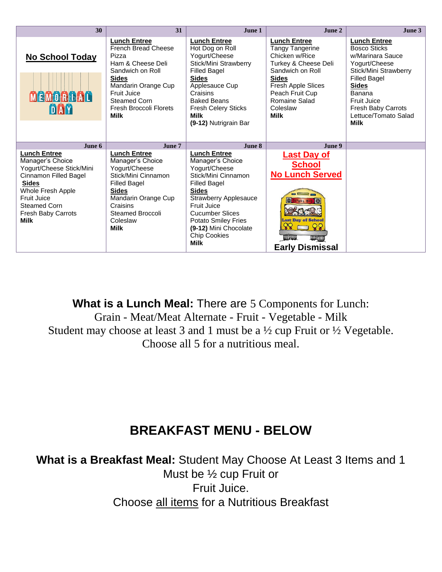| 30                                                                                                                                                                                                                  | 31                                                                                                                                                                                                                               | June 1                                                                                                                                                                                                                                                                                | June 2                                                                                                                                                                                                           | June 3                                                                                                                                                                                                                                       |
|---------------------------------------------------------------------------------------------------------------------------------------------------------------------------------------------------------------------|----------------------------------------------------------------------------------------------------------------------------------------------------------------------------------------------------------------------------------|---------------------------------------------------------------------------------------------------------------------------------------------------------------------------------------------------------------------------------------------------------------------------------------|------------------------------------------------------------------------------------------------------------------------------------------------------------------------------------------------------------------|----------------------------------------------------------------------------------------------------------------------------------------------------------------------------------------------------------------------------------------------|
| <b>No School Today</b><br><b>MEMORDAD</b><br>DAY                                                                                                                                                                    | <b>Lunch Entree</b><br><b>French Bread Cheese</b><br>Pizza<br>Ham & Cheese Deli<br>Sandwich on Roll<br><b>Sides</b><br>Mandarin Orange Cup<br>Fruit Juice<br><b>Steamed Corn</b><br><b>Fresh Broccoli Florets</b><br><b>Milk</b> | <b>Lunch Entree</b><br>Hot Dog on Roll<br>Yogurt/Cheese<br>Stick/Mini Strawberry<br><b>Filled Bagel</b><br><b>Sides</b><br>Applesauce Cup<br>Craisins<br><b>Baked Beans</b><br><b>Fresh Celery Sticks</b><br>Milk<br>(9-12) Nutrigrain Bar                                            | <b>Lunch Entree</b><br><b>Tangy Tangerine</b><br>Chicken w/Rice<br>Turkey & Cheese Deli<br>Sandwich on Roll<br><b>Sides</b><br>Fresh Apple Slices<br>Peach Fruit Cup<br>Romaine Salad<br>Coleslaw<br><b>Milk</b> | <b>Lunch Entree</b><br><b>Bosco Sticks</b><br>w/Marinara Sauce<br>Yogurt/Cheese<br>Stick/Mini Strawberry<br><b>Filled Bagel</b><br><b>Sides</b><br>Banana<br><b>Fruit Juice</b><br>Fresh Baby Carrots<br>Lettuce/Tomato Salad<br><b>Milk</b> |
| June 6                                                                                                                                                                                                              | June 7                                                                                                                                                                                                                           | June 8                                                                                                                                                                                                                                                                                | June 9                                                                                                                                                                                                           |                                                                                                                                                                                                                                              |
| <b>Lunch Entree</b><br>Manager's Choice<br>Yogurt/Cheese Stick/Mini<br>Cinnamon Filled Bagel<br><b>Sides</b><br>Whole Fresh Apple<br><b>Fruit Juice</b><br><b>Steamed Corn</b><br>Fresh Baby Carrots<br><b>Milk</b> | <b>Lunch Entree</b><br>Manager's Choice<br>Yogurt/Cheese<br>Stick/Mini Cinnamon<br><b>Filled Bagel</b><br><b>Sides</b><br>Mandarin Orange Cup<br>Craisins<br>Steamed Broccoli<br>Coleslaw<br><b>Milk</b>                         | <b>Lunch Entree</b><br>Manager's Choice<br>Yogurt/Cheese<br>Stick/Mini Cinnamon<br><b>Filled Bagel</b><br><b>Sides</b><br><b>Strawberry Applesauce</b><br><b>Fruit Juice</b><br><b>Cucumber Slices</b><br>Potato Smiley Fries<br>(9-12) Mini Chocolate<br>Chip Cookies<br><b>Milk</b> | <b>Last Day of</b><br><b>School</b><br><b>No Lunch Served</b><br><b>Last Day of School</b><br>ଦୃତ୍<br>$\mathsf{Q}\mathsf{S}$<br>WWW<br>WWW<br><b>Early Dismissal</b>                                             |                                                                                                                                                                                                                                              |

**What is a Lunch Meal:** There are 5 Components for Lunch: Grain - Meat/Meat Alternate - Fruit - Vegetable - Milk Student may choose at least 3 and 1 must be a ½ cup Fruit or ½ Vegetable. Choose all 5 for a nutritious meal.

## **BREAKFAST MENU - BELOW**

**What is a Breakfast Meal:** Student May Choose At Least 3 Items and 1 Must be ½ cup Fruit or Fruit Juice. Choose all items for a Nutritious Breakfast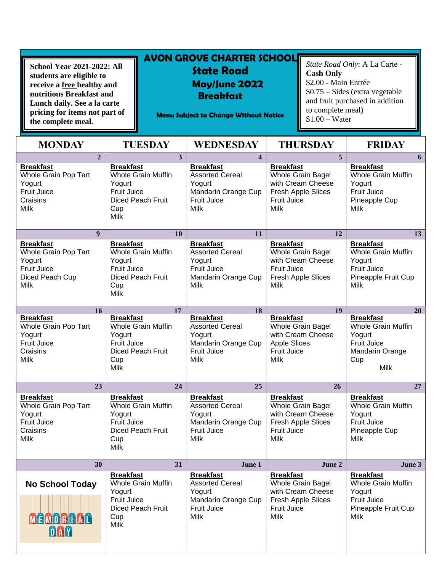| <b>School Year 2021-2022: All</b><br>students are eligible to<br>receive a free healthy and<br>nutritious Breakfast and<br>Lunch daily. See a la carte<br>pricing for items not part of<br>the complete meal. |                | <b>AVON GROVE CHARTER SCHOOL</b><br><b>State Road</b><br><b>May/June 2022</b><br><b>Breakfast</b><br><b>Menu Subject to Change Without Notice</b> | <b>Cash Only</b><br>\$2.00 - Main Entrée<br>to complete meal)<br>$$1.00 - Water$ | State Road Only: A La Carte -<br>$$0.75 - Sides$ (extra vegetable)<br>and fruit purchased in addition |
|---------------------------------------------------------------------------------------------------------------------------------------------------------------------------------------------------------------|----------------|---------------------------------------------------------------------------------------------------------------------------------------------------|----------------------------------------------------------------------------------|-------------------------------------------------------------------------------------------------------|
| <b>MONDAY</b>                                                                                                                                                                                                 | <b>TUESDAY</b> | WEDNESDAY                                                                                                                                         | <b>THURSDAY</b>                                                                  | <b>FRIDAY</b>                                                                                         |

| $\overline{2}$                                                                                      | $\overline{\mathbf{3}}$                                                                                                         | $\overline{\mathbf{4}}$                                                                                          | 5                                                                                                                            | 6                                                                                                                      |
|-----------------------------------------------------------------------------------------------------|---------------------------------------------------------------------------------------------------------------------------------|------------------------------------------------------------------------------------------------------------------|------------------------------------------------------------------------------------------------------------------------------|------------------------------------------------------------------------------------------------------------------------|
| <b>Breakfast</b><br>Whole Grain Pop Tart<br>Yogurt<br><b>Fruit Juice</b><br>Craisins<br><b>Milk</b> | <b>Breakfast</b><br><b>Whole Grain Muffin</b><br>Yogurt<br><b>Fruit Juice</b><br><b>Diced Peach Fruit</b><br>Cup<br><b>Milk</b> | <b>Breakfast</b><br><b>Assorted Cereal</b><br>Yogurt<br>Mandarin Orange Cup<br>Fruit Juice<br><b>Milk</b>        | <b>Breakfast</b><br>Whole Grain Bagel<br>with Cream Cheese<br>Fresh Apple Slices<br><b>Fruit Juice</b><br>Milk               | <b>Breakfast</b><br><b>Whole Grain Muffin</b><br>Yogurt<br><b>Fruit Juice</b><br>Pineapple Cup<br>Milk                 |
| $\boldsymbol{q}$                                                                                    | 10                                                                                                                              | 11                                                                                                               | 12                                                                                                                           | 13                                                                                                                     |
| <b>Breakfast</b><br>Whole Grain Pop Tart<br>Yogurt<br><b>Fruit Juice</b><br>Diced Peach Cup<br>Milk | <b>Breakfast</b><br><b>Whole Grain Muffin</b><br>Yogurt<br>Fruit Juice<br><b>Diced Peach Fruit</b><br>Cup<br><b>Milk</b>        | <b>Breakfast</b><br><b>Assorted Cereal</b><br>Yogurt<br>Fruit Juice<br>Mandarin Orange Cup<br>Milk               | <b>Breakfast</b><br>Whole Grain Bagel<br>with Cream Cheese<br><b>Fruit Juice</b><br>Fresh Apple Slices<br><b>Milk</b>        | <b>Breakfast</b><br><b>Whole Grain Muffin</b><br>Yogurt<br><b>Fruit Juice</b><br>Pineapple Fruit Cup<br>Milk           |
| <b>16</b>                                                                                           | 17                                                                                                                              | 18                                                                                                               | 19                                                                                                                           | 20                                                                                                                     |
| <b>Breakfast</b><br>Whole Grain Pop Tart<br>Yogurt<br><b>Fruit Juice</b><br>Craisins<br><b>Milk</b> | <b>Breakfast</b><br><b>Whole Grain Muffin</b><br>Yogurt<br><b>Fruit Juice</b><br><b>Diced Peach Fruit</b><br>Cup<br><b>Milk</b> | <b>Breakfast</b><br><b>Assorted Cereal</b><br>Yogurt<br>Mandarin Orange Cup<br>Fruit Juice<br><b>Milk</b>        | <b>Breakfast</b><br>Whole Grain Bagel<br>with Cream Cheese<br><b>Apple Slices</b><br><b>Fruit Juice</b><br>Milk              | <b>Breakfast</b><br><b>Whole Grain Muffin</b><br>Yogurt<br><b>Fruit Juice</b><br><b>Mandarin Orange</b><br>Cup<br>Milk |
| 23                                                                                                  | 24                                                                                                                              | 25                                                                                                               | 26                                                                                                                           | 27                                                                                                                     |
| <b>Breakfast</b><br>Whole Grain Pop Tart<br>Yogurt<br><b>Fruit Juice</b><br>Craisins<br><b>Milk</b> | <b>Breakfast</b><br><b>Whole Grain Muffin</b><br>Yogurt<br>Fruit Juice<br><b>Diced Peach Fruit</b><br>Cup<br><b>Milk</b>        | <b>Breakfast</b><br><b>Assorted Cereal</b><br>Yogurt<br>Mandarin Orange Cup<br><b>Fruit Juice</b><br>Milk        | <b>Breakfast</b><br>Whole Grain Bagel<br>with Cream Cheese<br>Fresh Apple Slices<br><b>Fruit Juice</b><br>Milk               | <b>Breakfast</b><br><b>Whole Grain Muffin</b><br>Yogurt<br><b>Fruit Juice</b><br>Pineapple Cup<br>Milk                 |
| 30                                                                                                  | 31                                                                                                                              | June 1                                                                                                           | June 2                                                                                                                       | June 3                                                                                                                 |
| <b>No School Today</b><br><b>MEMORLAL</b><br>DAY                                                    | <b>Breakfast</b><br><b>Whole Grain Muffin</b><br>Yogurt<br><b>Fruit Juice</b><br><b>Diced Peach Fruit</b><br>Cup<br>Milk        | <b>Breakfast</b><br><b>Assorted Cereal</b><br>Yogurt<br>Mandarin Orange Cup<br><b>Fruit Juice</b><br><b>Milk</b> | <b>Breakfast</b><br><b>Whole Grain Bagel</b><br>with Cream Cheese<br>Fresh Apple Slices<br><b>Fruit Juice</b><br><b>Milk</b> | <b>Breakfast</b><br><b>Whole Grain Muffin</b><br>Yogurt<br><b>Fruit Juice</b><br>Pineapple Fruit Cup<br>Milk           |